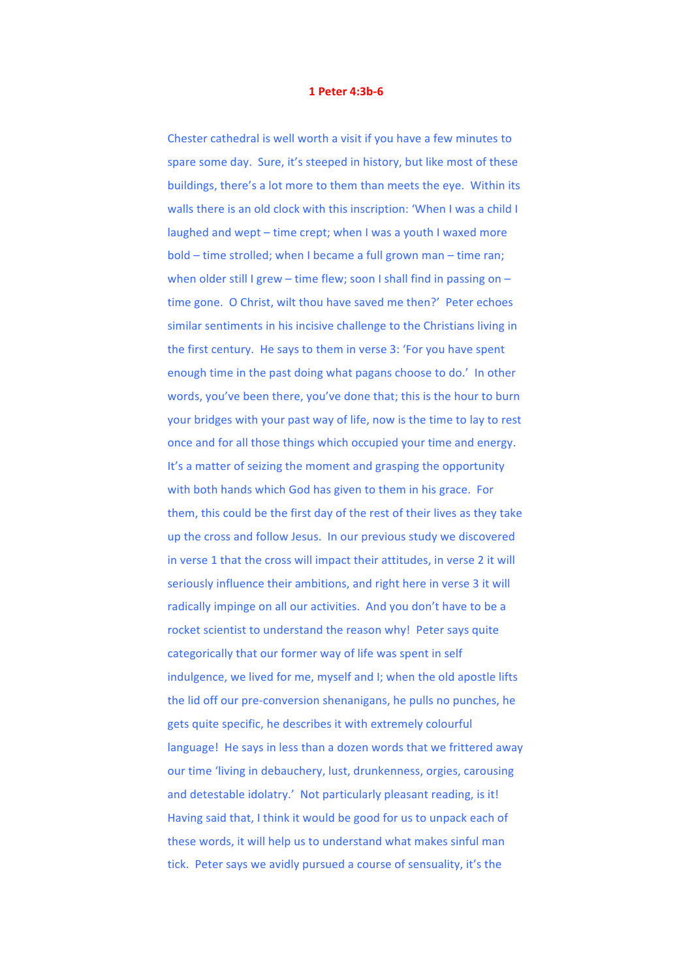## **1 Peter 4:3b-6**

Chester cathedral is well worth a visit if you have a few minutes to spare some day. Sure, it's steeped in history, but like most of these buildings, there's a lot more to them than meets the eye. Within its walls there is an old clock with this inscription: 'When I was a child I laughed and wept – time crept; when I was a youth I waxed more bold – time strolled; when I became a full grown man – time ran; when older still I grew – time flew; soon I shall find in passing on – time gone. O Christ, wilt thou have saved me then?' Peter echoes similar sentiments in his incisive challenge to the Christians living in the first century. He says to them in verse 3: 'For you have spent enough time in the past doing what pagans choose to do.' In other words, you've been there, you've done that; this is the hour to burn your bridges with your past way of life, now is the time to lay to rest once and for all those things which occupied your time and energy. It's a matter of seizing the moment and grasping the opportunity with both hands which God has given to them in his grace. For them, this could be the first day of the rest of their lives as they take up the cross and follow Jesus. In our previous study we discovered in verse 1 that the cross will impact their attitudes, in verse 2 it will seriously influence their ambitions, and right here in verse 3 it will radically impinge on all our activities. And you don't have to be a rocket scientist to understand the reason why! Peter says quite categorically that our former way of life was spent in self indulgence, we lived for me, myself and I; when the old apostle lifts the lid off our pre-conversion shenanigans, he pulls no punches, he gets quite specific, he describes it with extremely colourful language! He says in less than a dozen words that we frittered away our time 'living in debauchery, lust, drunkenness, orgies, carousing and detestable idolatry.' Not particularly pleasant reading, is it! Having said that, I think it would be good for us to unpack each of these words, it will help us to understand what makes sinful man tick. Peter says we avidly pursued a course of sensuality, it's the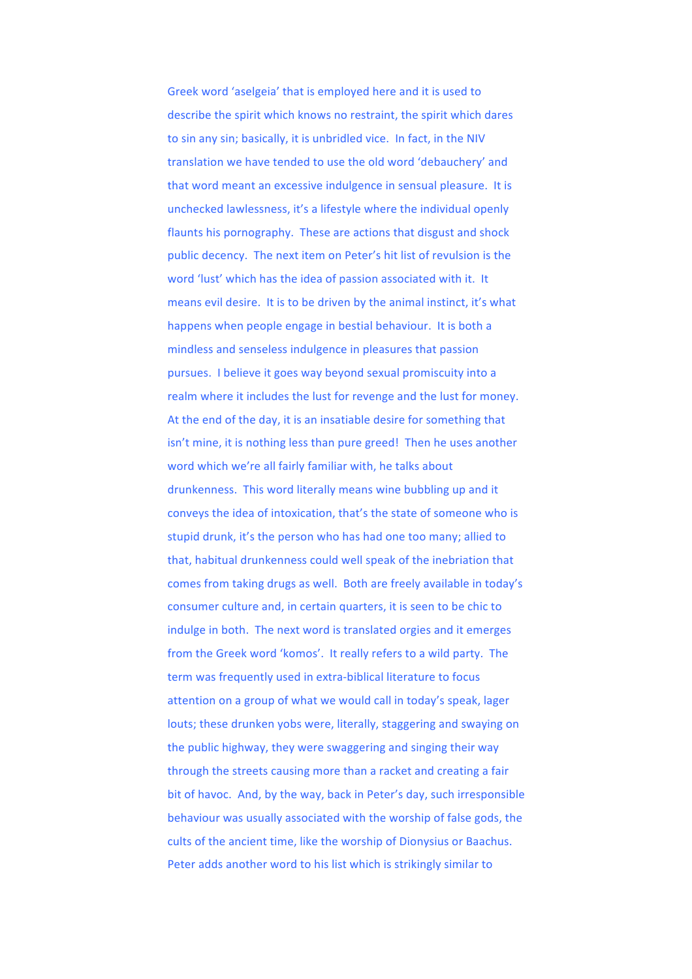Greek word 'aselgeia' that is employed here and it is used to describe the spirit which knows no restraint, the spirit which dares to sin any sin; basically, it is unbridled vice. In fact, in the NIV translation we have tended to use the old word 'debauchery' and that word meant an excessive indulgence in sensual pleasure. It is unchecked lawlessness, it's a lifestyle where the individual openly flaunts his pornography. These are actions that disgust and shock public decency. The next item on Peter's hit list of revulsion is the word 'lust' which has the idea of passion associated with it. It means evil desire. It is to be driven by the animal instinct, it's what happens when people engage in bestial behaviour. It is both a mindless and senseless indulgence in pleasures that passion pursues. I believe it goes way beyond sexual promiscuity into a realm where it includes the lust for revenge and the lust for money. At the end of the day, it is an insatiable desire for something that isn't mine, it is nothing less than pure greed! Then he uses another word which we're all fairly familiar with, he talks about drunkenness. This word literally means wine bubbling up and it conveys the idea of intoxication, that's the state of someone who is stupid drunk, it's the person who has had one too many; allied to that, habitual drunkenness could well speak of the inebriation that comes from taking drugs as well. Both are freely available in today's consumer culture and, in certain quarters, it is seen to be chic to indulge in both. The next word is translated orgies and it emerges from the Greek word 'komos'. It really refers to a wild party. The term was frequently used in extra-biblical literature to focus attention on a group of what we would call in today's speak, lager louts; these drunken yobs were, literally, staggering and swaying on the public highway, they were swaggering and singing their way through the streets causing more than a racket and creating a fair bit of havoc. And, by the way, back in Peter's day, such irresponsible behaviour was usually associated with the worship of false gods, the cults of the ancient time, like the worship of Dionysius or Baachus. Peter adds another word to his list which is strikingly similar to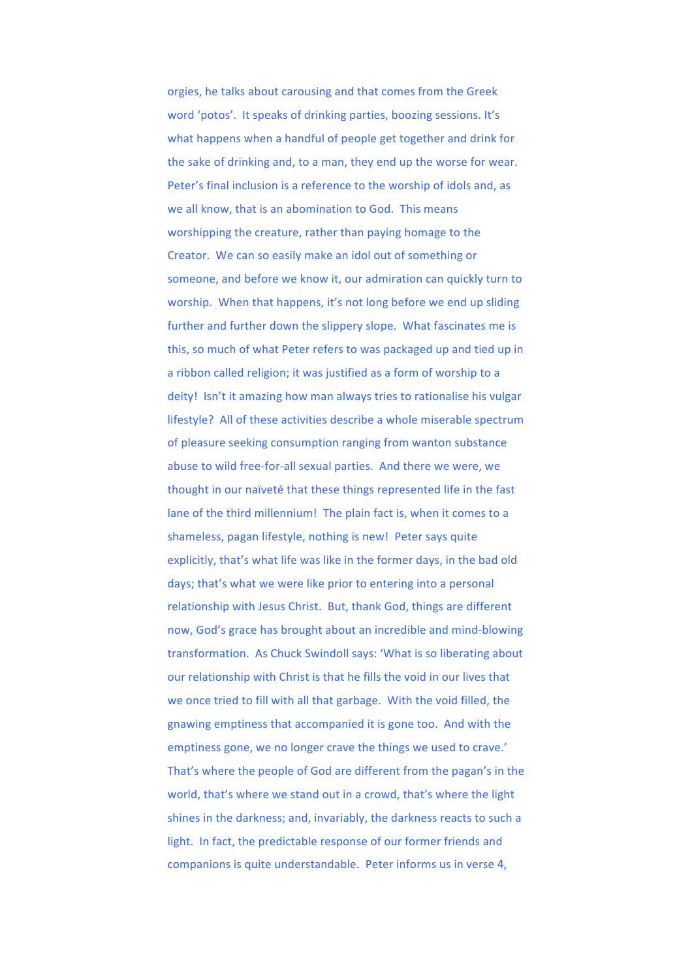orgies, he talks about carousing and that comes from the Greek word 'potos'. It speaks of drinking parties, boozing sessions. It's what happens when a handful of people get together and drink for the sake of drinking and, to a man, they end up the worse for wear. Peter's final inclusion is a reference to the worship of idols and, as we all know, that is an abomination to God. This means worshipping the creature, rather than paying homage to the Creator. We can so easily make an idol out of something or someone, and before we know it, our admiration can quickly turn to worship. When that happens, it's not long before we end up sliding further and further down the slippery slope. What fascinates me is this, so much of what Peter refers to was packaged up and tied up in a ribbon called religion; it was justified as a form of worship to a deity! Isn't it amazing how man always tries to rationalise his vulgar lifestyle? All of these activities describe a whole miserable spectrum of pleasure seeking consumption ranging from wanton substance abuse to wild free-for-all sexual parties. And there we were, we thought in our naïveté that these things represented life in the fast lane of the third millennium! The plain fact is, when it comes to a shameless, pagan lifestyle, nothing is new! Peter says quite explicitly, that's what life was like in the former days, in the bad old days; that's what we were like prior to entering into a personal relationship with Jesus Christ. But, thank God, things are different now, God's grace has brought about an incredible and mind-blowing transformation. As Chuck Swindoll says: 'What is so liberating about our relationship with Christ is that he fills the void in our lives that we once tried to fill with all that garbage. With the void filled, the gnawing emptiness that accompanied it is gone too. And with the emptiness gone, we no longer crave the things we used to crave.' That's where the people of God are different from the pagan's in the world, that's where we stand out in a crowd, that's where the light shines in the darkness; and, invariably, the darkness reacts to such a light. In fact, the predictable response of our former friends and companions is quite understandable. Peter informs us in verse 4,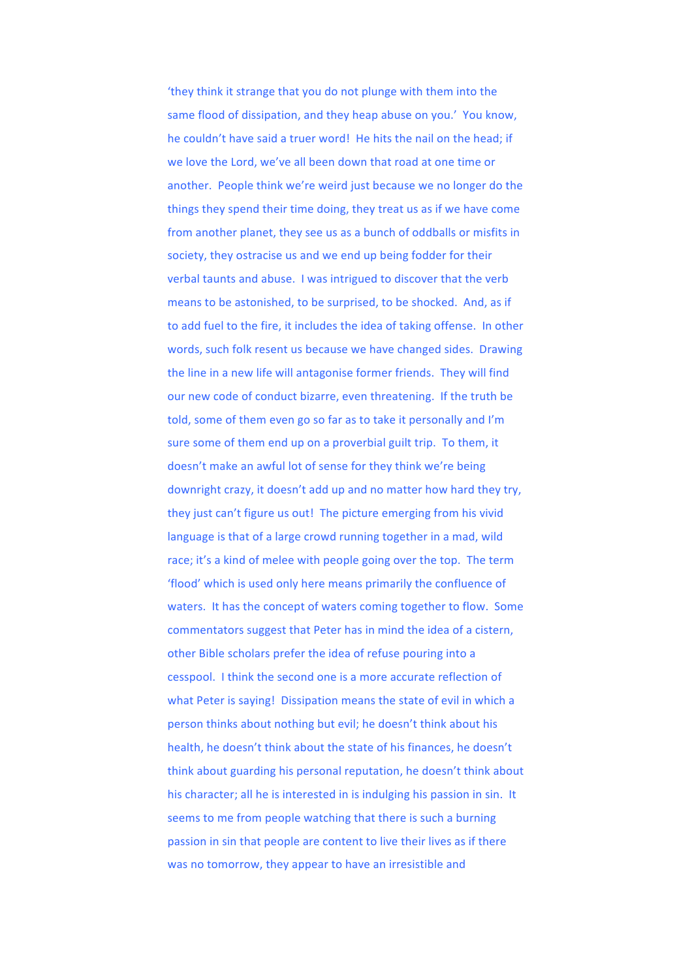'they think it strange that you do not plunge with them into the same flood of dissipation, and they heap abuse on you.' You know, he couldn't have said a truer word! He hits the nail on the head; if we love the Lord, we've all been down that road at one time or another. People think we're weird just because we no longer do the things they spend their time doing, they treat us as if we have come from another planet, they see us as a bunch of oddballs or misfits in society, they ostracise us and we end up being fodder for their verbal taunts and abuse. I was intrigued to discover that the verb means to be astonished, to be surprised, to be shocked. And, as if to add fuel to the fire, it includes the idea of taking offense. In other words, such folk resent us because we have changed sides. Drawing the line in a new life will antagonise former friends. They will find our new code of conduct bizarre, even threatening. If the truth be told, some of them even go so far as to take it personally and I'm sure some of them end up on a proverbial guilt trip. To them, it doesn't make an awful lot of sense for they think we're being downright crazy, it doesn't add up and no matter how hard they try, they just can't figure us out! The picture emerging from his vivid language is that of a large crowd running together in a mad, wild race; it's a kind of melee with people going over the top. The term 'flood' which is used only here means primarily the confluence of waters. It has the concept of waters coming together to flow. Some commentators suggest that Peter has in mind the idea of a cistern, other Bible scholars prefer the idea of refuse pouring into a cesspool. I think the second one is a more accurate reflection of what Peter is saying! Dissipation means the state of evil in which a person thinks about nothing but evil; he doesn't think about his health, he doesn't think about the state of his finances, he doesn't think about guarding his personal reputation, he doesn't think about his character; all he is interested in is indulging his passion in sin. It seems to me from people watching that there is such a burning passion in sin that people are content to live their lives as if there was no tomorrow, they appear to have an irresistible and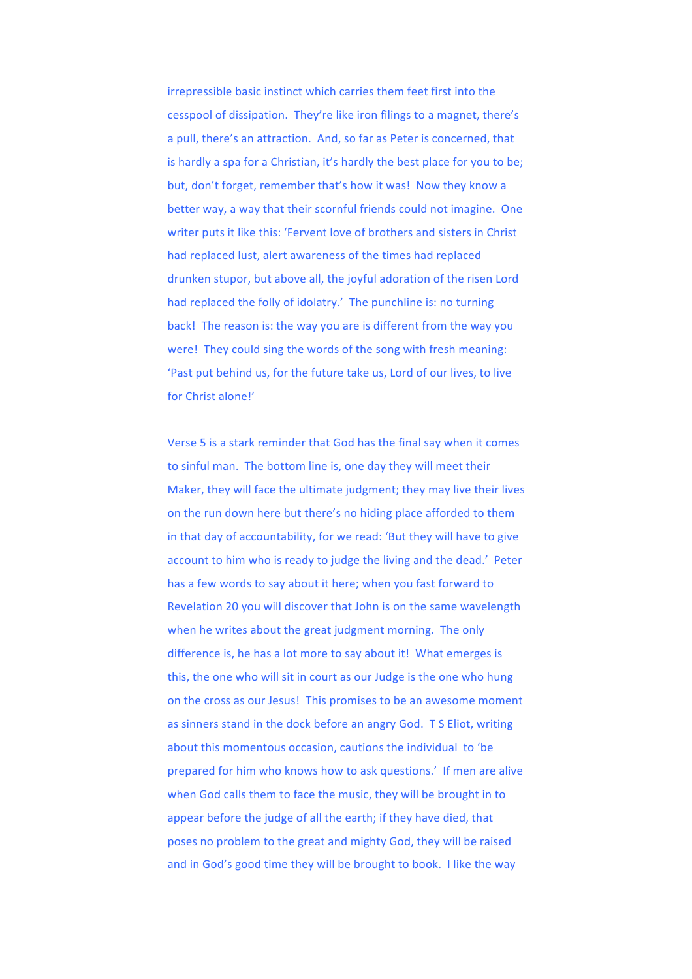irrepressible basic instinct which carries them feet first into the cesspool of dissipation. They're like iron filings to a magnet, there's a pull, there's an attraction. And, so far as Peter is concerned, that is hardly a spa for a Christian, it's hardly the best place for you to be; but, don't forget, remember that's how it was! Now they know a better way, a way that their scornful friends could not imagine. One writer puts it like this: 'Fervent love of brothers and sisters in Christ had replaced lust, alert awareness of the times had replaced drunken stupor, but above all, the joyful adoration of the risen Lord had replaced the folly of idolatry.' The punchline is: no turning back! The reason is: the way you are is different from the way you were! They could sing the words of the song with fresh meaning: 'Past put behind us, for the future take us, Lord of our lives, to live for Christ alone!'

Verse 5 is a stark reminder that God has the final say when it comes to sinful man. The bottom line is, one day they will meet their Maker, they will face the ultimate judgment; they may live their lives on the run down here but there's no hiding place afforded to them in that day of accountability, for we read: 'But they will have to give account to him who is ready to judge the living and the dead.' Peter has a few words to say about it here; when you fast forward to Revelation 20 you will discover that John is on the same wavelength when he writes about the great judgment morning. The only difference is, he has a lot more to say about it! What emerges is this, the one who will sit in court as our Judge is the one who hung on the cross as our Jesus! This promises to be an awesome moment as sinners stand in the dock before an angry God. T S Eliot, writing about this momentous occasion, cautions the individual to 'be prepared for him who knows how to ask questions.' If men are alive when God calls them to face the music, they will be brought in to appear before the judge of all the earth; if they have died, that poses no problem to the great and mighty God, they will be raised and in God's good time they will be brought to book. I like the way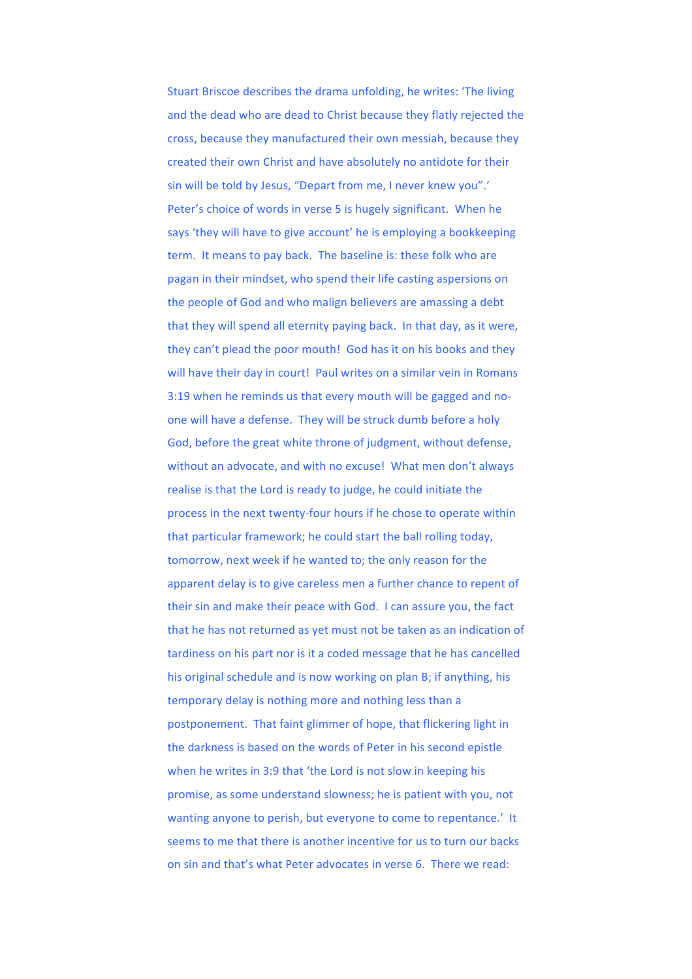Stuart Briscoe describes the drama unfolding, he writes: 'The living and the dead who are dead to Christ because they flatly rejected the cross, because they manufactured their own messiah, because they created their own Christ and have absolutely no antidote for their sin will be told by Jesus, "Depart from me, I never knew you".' Peter's choice of words in verse 5 is hugely significant. When he says 'they will have to give account' he is employing a bookkeeping term. It means to pay back. The baseline is: these folk who are pagan in their mindset, who spend their life casting aspersions on the people of God and who malign believers are amassing a debt that they will spend all eternity paying back. In that day, as it were, they can't plead the poor mouth! God has it on his books and they will have their day in court! Paul writes on a similar vein in Romans 3:19 when he reminds us that every mouth will be gagged and noone will have a defense. They will be struck dumb before a holy God, before the great white throne of judgment, without defense, without an advocate, and with no excuse! What men don't always realise is that the Lord is ready to judge, he could initiate the process in the next twenty-four hours if he chose to operate within that particular framework; he could start the ball rolling today, tomorrow, next week if he wanted to; the only reason for the apparent delay is to give careless men a further chance to repent of their sin and make their peace with God. I can assure you, the fact that he has not returned as yet must not be taken as an indication of tardiness on his part nor is it a coded message that he has cancelled his original schedule and is now working on plan B; if anything, his temporary delay is nothing more and nothing less than a postponement. That faint glimmer of hope, that flickering light in the darkness is based on the words of Peter in his second epistle when he writes in 3:9 that 'the Lord is not slow in keeping his promise, as some understand slowness; he is patient with you, not wanting anyone to perish, but everyone to come to repentance.' It seems to me that there is another incentive for us to turn our backs on sin and that's what Peter advocates in verse 6. There we read: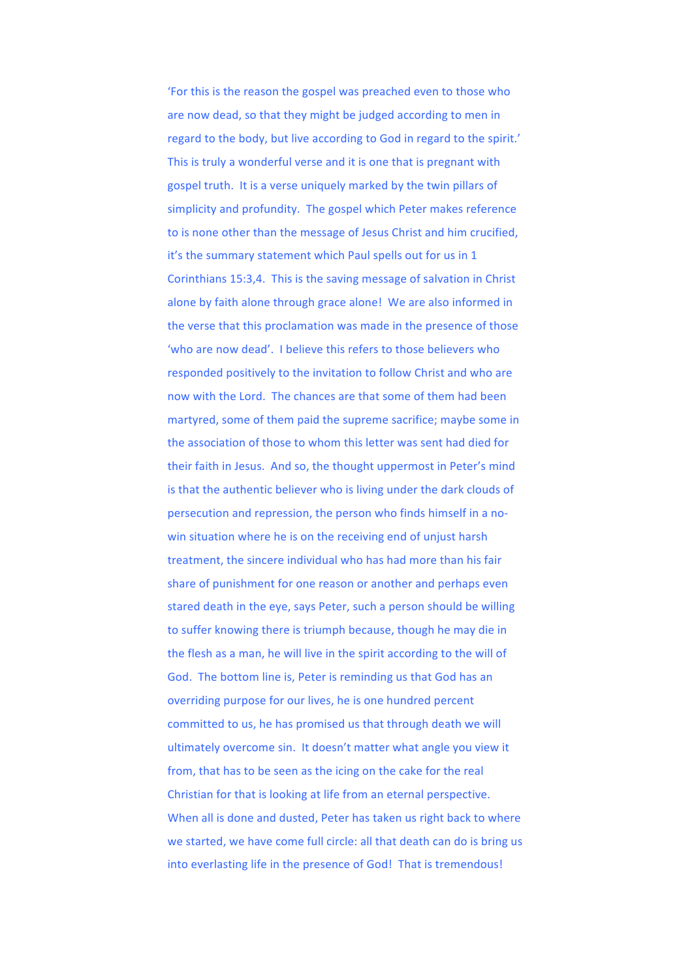'For this is the reason the gospel was preached even to those who are now dead, so that they might be judged according to men in regard to the body, but live according to God in regard to the spirit.' This is truly a wonderful verse and it is one that is pregnant with gospel truth. It is a verse uniquely marked by the twin pillars of simplicity and profundity. The gospel which Peter makes reference to is none other than the message of Jesus Christ and him crucified, it's the summary statement which Paul spells out for us in 1 Corinthians 15:3,4. This is the saving message of salvation in Christ alone by faith alone through grace alone! We are also informed in the verse that this proclamation was made in the presence of those 'who are now dead'. I believe this refers to those believers who responded positively to the invitation to follow Christ and who are now with the Lord. The chances are that some of them had been martyred, some of them paid the supreme sacrifice; maybe some in the association of those to whom this letter was sent had died for their faith in Jesus. And so, the thought uppermost in Peter's mind is that the authentic believer who is living under the dark clouds of persecution and repression, the person who finds himself in a nowin situation where he is on the receiving end of uniust harsh treatment, the sincere individual who has had more than his fair share of punishment for one reason or another and perhaps even stared death in the eye, says Peter, such a person should be willing to suffer knowing there is triumph because, though he may die in the flesh as a man, he will live in the spirit according to the will of God. The bottom line is, Peter is reminding us that God has an overriding purpose for our lives, he is one hundred percent committed to us, he has promised us that through death we will ultimately overcome sin. It doesn't matter what angle you view it from, that has to be seen as the icing on the cake for the real Christian for that is looking at life from an eternal perspective. When all is done and dusted, Peter has taken us right back to where we started, we have come full circle: all that death can do is bring us into everlasting life in the presence of God! That is tremendous!